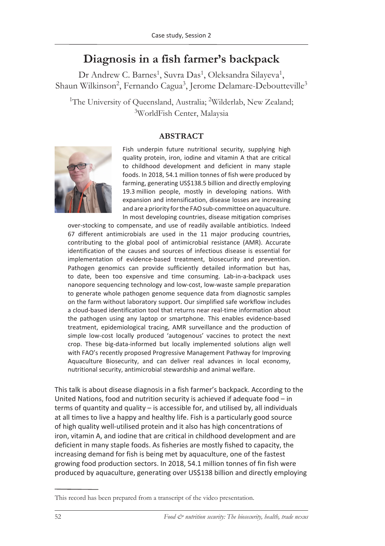## **Diagnosis in a fish farmer's backpack**

Dr Andrew C. Barnes<sup>1</sup>, Suvra Das<sup>1</sup>, Oleksandra Silayeva<sup>1</sup>, Shaun Wilkinson<sup>2</sup>, Fernando Cagua<sup>3</sup>, Jerome Delamare-Deboutteville<sup>3</sup>

<sup>1</sup>The University of Queensland, Australia; <sup>2</sup>Wilderlab, New Zealand; 3 WorldFish Center, Malaysia

## **ABSTRACT**



Fish underpin future nutritional security, supplying high quality protein, iron, iodine and vitamin A that are critical to childhood development and deficient in many staple foods. In 2018, 54.1 million tonnes of fish were produced by farming, generating US\$138.5 billion and directly employing 19.3 million people, mostly in developing nations. With expansion and intensification, disease losses are increasing and are a priority for the FAO sub-committee on aquaculture. In most developing countries, disease mitigation comprises

over-stocking to compensate, and use of readily available antibiotics. Indeed 67 different antimicrobials are used in the 11 major producing countries, contributing to the global pool of antimicrobial resistance (AMR). Accurate identification of the causes and sources of infectious disease is essential for implementation of evidence-based treatment, biosecurity and prevention. Pathogen genomics can provide sufficiently detailed information but has, to date, been too expensive and time consuming. Lab-in-a-backpack uses nanopore sequencing technology and low-cost, low-waste sample preparation to generate whole pathogen genome sequence data from diagnostic samples on the farm without laboratory support. Our simplified safe workflow includes a cloud-based identification tool that returns near real-time information about the pathogen using any laptop or smartphone. This enables evidence-based treatment, epidemiological tracing, AMR surveillance and the production of simple low-cost locally produced 'autogenous' vaccines to protect the next crop. These big-data-informed but locally implemented solutions align well with FAO's recently proposed Progressive Management Pathway for Improving Aquaculture Biosecurity, and can deliver real advances in local economy, nutritional security, antimicrobial stewardship and animal welfare.

This talk is about disease diagnosis in a fish farmer's backpack. According to the United Nations, food and nutrition security is achieved if adequate food – in terms of quantity and quality – is accessible for, and utilised by, all individuals at all times to live a happy and healthy life. Fish is a particularly good source of high quality well-utilised protein and it also has high concentrations of iron, vitamin A, and iodine that are critical in childhood development and are deficient in many staple foods. As fisheries are mostly fished to capacity, the increasing demand for fish is being met by aquaculture, one of the fastest growing food production sectors. In 2018, 54.1 million tonnes of fin fish were produced by aquaculture, generating over US\$138 billion and directly employing

This record has been prepared from a transcript of the video presentation.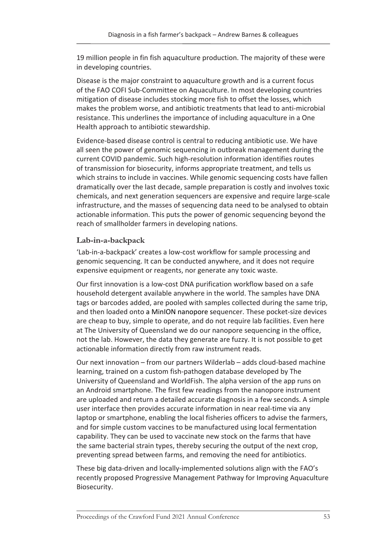19 million people in fin fish aquaculture production. The majority of these were in developing countries.

Disease is the major constraint to aquaculture growth and is a current focus of the FAO COFI Sub-Committee on Aquaculture. In most developing countries mitigation of disease includes stocking more fish to offset the losses, which makes the problem worse, and antibiotic treatments that lead to anti-microbial resistance. This underlines the importance of including aquaculture in a One Health approach to antibiotic stewardship.

Evidence-based disease control is central to reducing antibiotic use. We have all seen the power of genomic sequencing in outbreak management during the current COVID pandemic. Such high-resolution information identifies routes of transmission for biosecurity, informs appropriate treatment, and tells us which strains to include in vaccines. While genomic sequencing costs have fallen dramatically over the last decade, sample preparation is costly and involves toxic chemicals, and next generation sequencers are expensive and require large-scale infrastructure, and the masses of sequencing data need to be analysed to obtain actionable information. This puts the power of genomic sequencing beyond the reach of smallholder farmers in developing nations.

## **Lab-in-a-backpack**

'Lab-in-a-backpack' creates a low-cost workflow for sample processing and genomic sequencing. It can be conducted anywhere, and it does not require expensive equipment or reagents, nor generate any toxic waste.

Our first innovation is a low-cost DNA purification workflow based on a safe household detergent available anywhere in the world. The samples have DNA tags or barcodes added, are pooled with samples collected during the same trip, and then loaded onto a MinION nanopore sequencer. These pocket-size devices are cheap to buy, simple to operate, and do not require lab facilities. Even here at The University of Queensland we do our nanopore sequencing in the office, not the lab. However, the data they generate are fuzzy. It is not possible to get actionable information directly from raw instrument reads.

Our next innovation – from our partners Wilderlab – adds cloud-based machine learning, trained on a custom fish-pathogen database developed by The University of Queensland and WorldFish. The alpha version of the app runs on an Android smartphone. The first few readings from the nanopore instrument are uploaded and return a detailed accurate diagnosis in a few seconds. A simple user interface then provides accurate information in near real-time via any laptop or smartphone, enabling the local fisheries officers to advise the farmers, and for simple custom vaccines to be manufactured using local fermentation capability. They can be used to vaccinate new stock on the farms that have the same bacterial strain types, thereby securing the output of the next crop, preventing spread between farms, and removing the need for antibiotics.

These big data-driven and locally-implemented solutions align with the FAO's recently proposed Progressive Management Pathway for Improving Aquaculture Biosecurity.